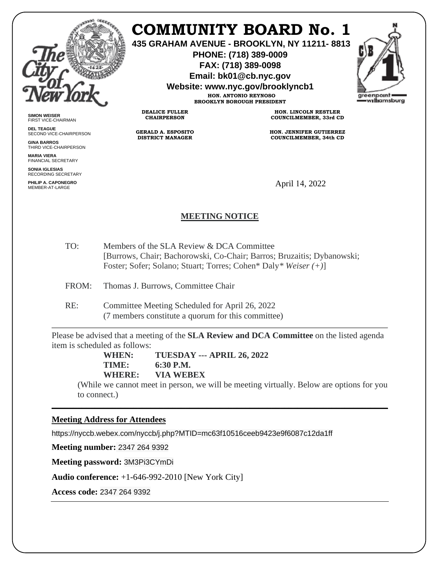

**SIMON WEISER** FIRST VICE-CHAIRMAN **DEL TEAGUE**

**GINA BARROS** THIRD VICE-CHAIRPERSON

**MARIA VIERA** FINANCIAL SECRETARY **SONIA IGLESIAS** RECORDING SECRETARY **PHILIP A. CAPONEGRO**

SECOND VICE-CHAIRPERSON

# **COMMUNITY BOARD No. 1**

**435 GRAHAM AVENUE - BROOKLYN, NY 11211- 8813**

**PHONE: (718) 389-0009 FAX: (718) 389-0098**

**Email: bk01@cb.nyc.gov**

**Website: www.nyc.gov/brooklyncb1**

**HON. ANTONIO REYNOSO BROOKLYN BOROUGH PRESIDENT**

**DEALICE FULLER CHAIRPERSON**

**GERALD A. ESPOSITO DISTRICT MANAGER**

**HON. LINCOLN RESTLER COUNCILMEMBER, 33rd CD**

**HON. JENNIFER GUTIERREZ COUNCILMEMBER, 34th CD**

April 14, 2022

# **MEETING NOTICE**

TO: Members of the SLA Review & DCA Committee [Burrows, Chair; Bachorowski, Co-Chair; Barros; Bruzaitis; Dybanowski; Foster; Sofer; Solano; Stuart; Torres; Cohen\* Daly*\* Weiser (+)*]

FROM: Thomas J. Burrows, Committee Chair

RE: Committee Meeting Scheduled for April 26, 2022 (7 members constitute a quorum for this committee)

Please be advised that a meeting of the **SLA Review and DCA Committee** on the listed agenda item is scheduled as follows:

**WHEN: TUESDAY --- APRIL 26, 2022 TIME: 6:30 P.M. WHERE: VIA WEBEX**

(While we cannot meet in person, we will be meeting virtually. Below are options for you to connect.)

\_\_\_\_\_\_\_\_\_\_\_\_\_\_\_\_\_\_\_\_\_\_\_\_\_\_\_\_\_\_\_\_\_\_\_\_\_\_\_\_\_\_\_\_\_\_\_\_\_\_\_\_\_\_\_\_\_\_\_\_\_\_\_\_\_\_\_\_\_\_\_\_\_\_\_\_\_\_

# **Meeting Address for Attendees**

https://nyccb.webex.com/nyccb/j.php?MTID=mc63f10516ceeb9423e9f6087c12da1ff

**Meeting number:** 2347 264 9392

**Meeting password:** 3M3Pi3CYmDi

**Audio conference:** +1-646-992-2010 [New York City]

**Access code:** 2347 264 9392

areenpoint williamsburg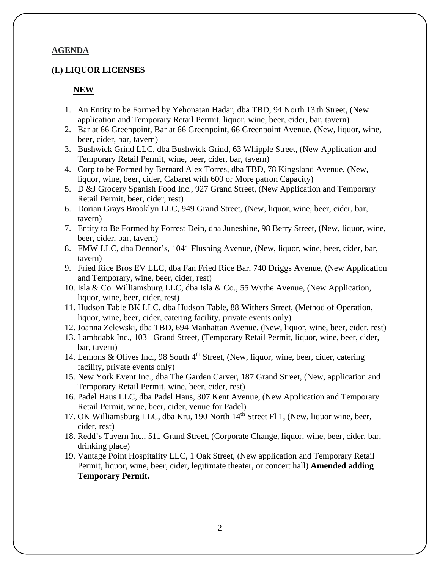### **AGENDA**

#### **(I.) LIQUOR LICENSES**

#### **NEW**

- 1. An Entity to be Formed by Yehonatan Hadar, dba TBD, 94 North 13 th Street, (New application and Temporary Retail Permit, liquor, wine, beer, cider, bar, tavern)
- 2. Bar at 66 Greenpoint, Bar at 66 Greenpoint, 66 Greenpoint Avenue, (New, liquor, wine, beer, cider, bar, tavern)
- 3. Bushwick Grind LLC, dba Bushwick Grind, 63 Whipple Street, (New Application and Temporary Retail Permit, wine, beer, cider, bar, tavern)
- 4. Corp to be Formed by Bernard Alex Torres, dba TBD, 78 Kingsland Avenue, (New, liquor, wine, beer, cider, Cabaret with 600 or More patron Capacity)
- 5. D &J Grocery Spanish Food Inc., 927 Grand Street, (New Application and Temporary Retail Permit, beer, cider, rest)
- 6. Dorian Grays Brooklyn LLC, 949 Grand Street, (New, liquor, wine, beer, cider, bar, tavern)
- 7. Entity to Be Formed by Forrest Dein, dba Juneshine, 98 Berry Street, (New, liquor, wine, beer, cider, bar, tavern)
- 8. FMW LLC, dba Dennor's, 1041 Flushing Avenue, (New, liquor, wine, beer, cider, bar, tavern)
- 9. Fried Rice Bros EV LLC, dba Fan Fried Rice Bar, 740 Driggs Avenue, (New Application and Temporary, wine, beer, cider, rest)
- 10. Isla & Co. Williamsburg LLC, dba Isla & Co., 55 Wythe Avenue, (New Application, liquor, wine, beer, cider, rest)
- 11. Hudson Table BK LLC, dba Hudson Table, 88 Withers Street, (Method of Operation, liquor, wine, beer, cider, catering facility, private events only)
- 12. Joanna Zelewski, dba TBD, 694 Manhattan Avenue, (New, liquor, wine, beer, cider, rest)
- 13. Lambdabk Inc., 1031 Grand Street, (Temporary Retail Permit, liquor, wine, beer, cider, bar, tavern)
- 14. Lemons & Olives Inc., 98 South 4<sup>th</sup> Street, (New, liquor, wine, beer, cider, catering facility, private events only)
- 15. New York Event Inc., dba The Garden Carver, 187 Grand Street, (New, application and Temporary Retail Permit, wine, beer, cider, rest)
- 16. Padel Haus LLC, dba Padel Haus, 307 Kent Avenue, (New Application and Temporary Retail Permit, wine, beer, cider, venue for Padel)
- 17. OK Williamsburg LLC, dba Kru, 190 North 14<sup>th</sup> Street Fl 1, (New, liquor wine, beer, cider, rest)
- 18. Redd's Tavern Inc., 511 Grand Street, (Corporate Change, liquor, wine, beer, cider, bar, drinking place)
- 19. Vantage Point Hospitality LLC, 1 Oak Street, (New application and Temporary Retail Permit, liquor, wine, beer, cider, legitimate theater, or concert hall) **Amended adding Temporary Permit.**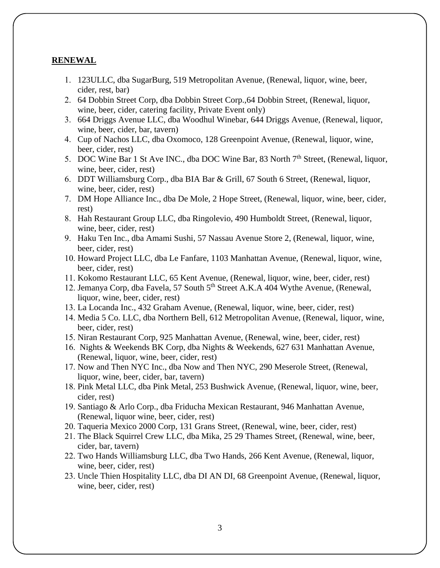#### **RENEWAL**

- 1. 123ULLC, dba SugarBurg, 519 Metropolitan Avenue, (Renewal, liquor, wine, beer, cider, rest, bar)
- 2. 64 Dobbin Street Corp, dba Dobbin Street Corp.,64 Dobbin Street, (Renewal, liquor, wine, beer, cider, catering facility, Private Event only)
- 3. 664 Driggs Avenue LLC, dba Woodhul Winebar, 644 Driggs Avenue, (Renewal, liquor, wine, beer, cider, bar, tavern)
- 4. Cup of Nachos LLC, dba Oxomoco, 128 Greenpoint Avenue, (Renewal, liquor, wine, beer, cider, rest)
- 5. DOC Wine Bar 1 St Ave INC., dba DOC Wine Bar, 83 North 7<sup>th</sup> Street, (Renewal, liquor, wine, beer, cider, rest)
- 6. DDT Williamsburg Corp., dba BIA Bar & Grill, 67 South 6 Street, (Renewal, liquor, wine, beer, cider, rest)
- 7. DM Hope Alliance Inc., dba De Mole, 2 Hope Street, (Renewal, liquor, wine, beer, cider, rest)
- 8. Hah Restaurant Group LLC, dba Ringolevio, 490 Humboldt Street, (Renewal, liquor, wine, beer, cider, rest)
- 9. Haku Ten Inc., dba Amami Sushi, 57 Nassau Avenue Store 2, (Renewal, liquor, wine, beer, cider, rest)
- 10. Howard Project LLC, dba Le Fanfare, 1103 Manhattan Avenue, (Renewal, liquor, wine, beer, cider, rest)
- 11. Kokomo Restaurant LLC, 65 Kent Avenue, (Renewal, liquor, wine, beer, cider, rest)
- 12. Jemanya Corp, dba Favela, 57 South 5th Street A.K.A 404 Wythe Avenue, (Renewal, liquor, wine, beer, cider, rest)
- 13. La Locanda Inc., 432 Graham Avenue, (Renewal, liquor, wine, beer, cider, rest)
- 14. Media 5 Co. LLC, dba Northern Bell, 612 Metropolitan Avenue, (Renewal, liquor, wine, beer, cider, rest)
- 15. Niran Restaurant Corp, 925 Manhattan Avenue, (Renewal, wine, beer, cider, rest)
- 16. Nights & Weekends BK Corp, dba Nights & Weekends, 627 631 Manhattan Avenue, (Renewal, liquor, wine, beer, cider, rest)
- 17. Now and Then NYC Inc., dba Now and Then NYC, 290 Meserole Street, (Renewal, liquor, wine, beer, cider, bar, tavern)
- 18. Pink Metal LLC, dba Pink Metal, 253 Bushwick Avenue, (Renewal, liquor, wine, beer, cider, rest)
- 19. Santiago & Arlo Corp., dba Friducha Mexican Restaurant, 946 Manhattan Avenue, (Renewal, liquor wine, beer, cider, rest)
- 20. Taqueria Mexico 2000 Corp, 131 Grans Street, (Renewal, wine, beer, cider, rest)
- 21. The Black Squirrel Crew LLC, dba Mika, 25 29 Thames Street, (Renewal, wine, beer, cider, bar, tavern)
- 22. Two Hands Williamsburg LLC, dba Two Hands, 266 Kent Avenue, (Renewal, liquor, wine, beer, cider, rest)
- 23. Uncle Thien Hospitality LLC, dba DI AN DI, 68 Greenpoint Avenue, (Renewal, liquor, wine, beer, cider, rest)